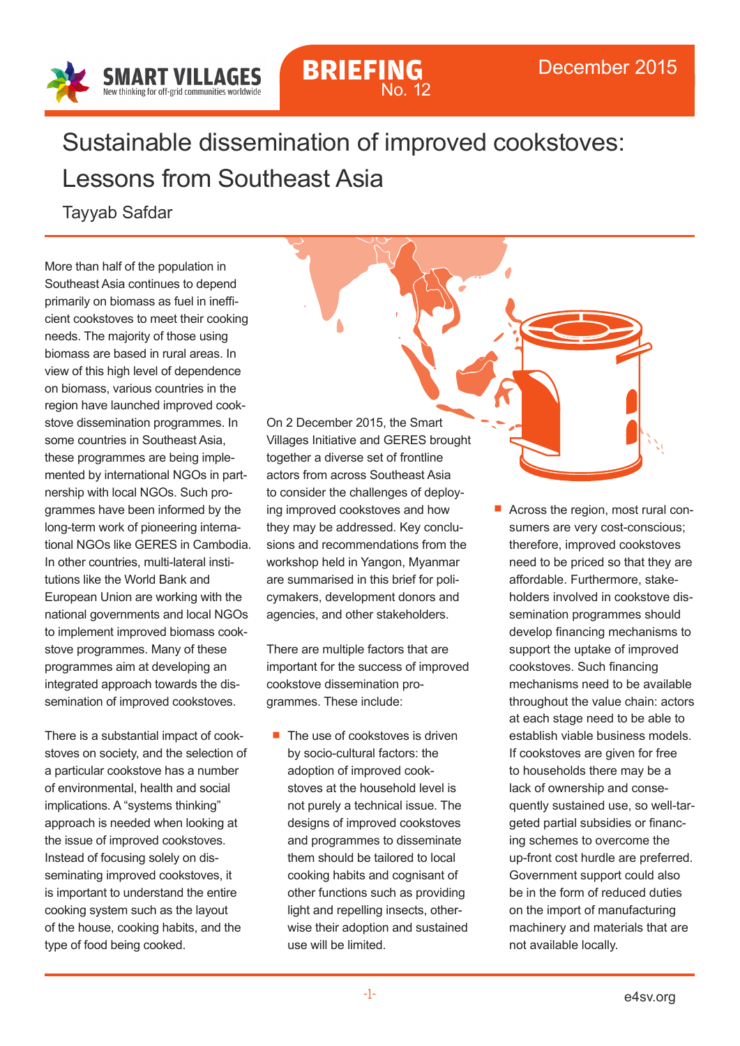

## **BRIEFING** No. 12

## Sustainable dissemination of improved cookstoves: Lessons from Southeast Asia

Tayyab Safdar

More than half of the population in Southeast Asia continues to depend primarily on biomass as fuel in inefficient cookstoves to meet their cooking needs. The majority of those using biomass are based in rural areas. In view of this high level of dependence on biomass, various countries in the region have launched improved cookstove dissemination programmes. In some countries in Southeast Asia, these programmes are being implemented by international NGOs in partnership with local NGOs. Such programmes have been informed by the long-term work of pioneering international NGOs like GERES in Cambodia. In other countries, multi-lateral institutions like the World Bank and European Union are working with the national governments and local NGOs to implement improved biomass cookstove programmes. Many of these programmes aim at developing an integrated approach towards the dissemination of improved cookstoves.

There is a substantial impact of cookstoves on society, and the selection of a particular cookstove has a number of environmental, health and social implications. A "systems thinking" approach is needed when looking at the issue of improved cookstoves. Instead of focusing solely on disseminating improved cookstoves, it is important to understand the entire cooking system such as the layout of the house, cooking habits, and the type of food being cooked.

On 2 December 2015, the Smart Villages Initiative and GERES brought together a diverse set of frontline actors from across Southeast Asia to consider the challenges of deploying improved cookstoves and how they may be addressed. Key conclusions and recommendations from the workshop held in Yangon, Myanmar are summarised in this brief for policymakers, development donors and agencies, and other stakeholders.

There are multiple factors that are important for the success of improved cookstove dissemination programmes. These include:

- $\blacksquare$  The use of cookstoves is driven by socio-cultural factors: the adoption of improved cookstoves at the household level is not purely a technical issue. The designs of improved cookstoves and programmes to disseminate them should be tailored to local cooking habits and cognisant of other functions such as providing light and repelling insects, otherwise their adoption and sustained use will be limited.
- Across the region, most rural consumers are very cost-conscious; therefore, improved cookstoves need to be priced so that they are affordable. Furthermore, stakeholders involved in cookstove dissemination programmes should develop financing mechanisms to support the uptake of improved cookstoves. Such financing mechanisms need to be available throughout the value chain: actors at each stage need to be able to establish viable business models. If cookstoves are given for free to households there may be a lack of ownership and consequently sustained use, so well-targeted partial subsidies or financing schemes to overcome the up-front cost hurdle are preferred. Government support could also be in the form of reduced duties on the import of manufacturing machinery and materials that are not available locally.